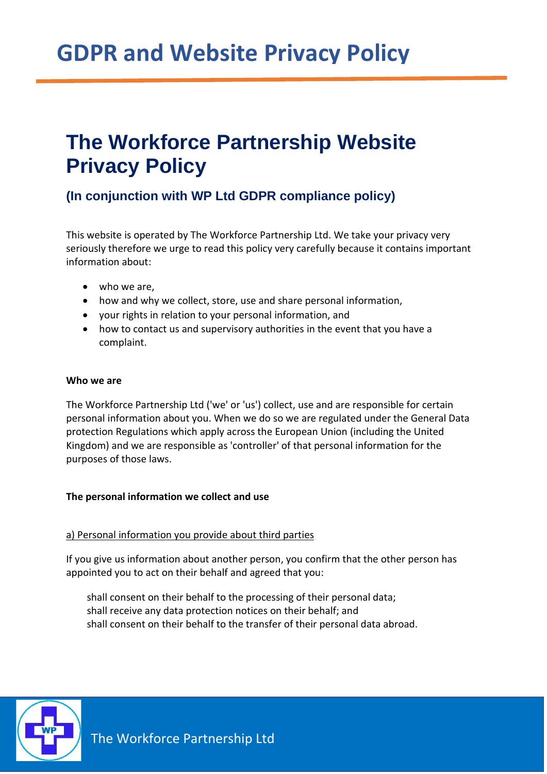## **The Workforce Partnership Website Privacy Policy**

### **(In conjunction with WP Ltd GDPR compliance policy)**

This website is operated by The Workforce Partnership Ltd. We take your privacy very seriously therefore we urge to read this policy very carefully because it contains important information about:

- who we are,
- how and why we collect, store, use and share personal information,
- your rights in relation to your personal information, and
- how to contact us and supervisory authorities in the event that you have a complaint.

#### **Who we are**

The Workforce Partnership Ltd ('we' or 'us') collect, use and are responsible for certain personal information about you. When we do so we are regulated under the General Data protection Regulations which apply across the European Union (including the United Kingdom) and we are responsible as 'controller' of that personal information for the purposes of those laws.

#### **The personal information we collect and use**

#### a) Personal information you provide about third parties

If you give us information about another person, you confirm that the other person has appointed you to act on their behalf and agreed that you:

shall consent on their behalf to the processing of their personal data; shall receive any data protection notices on their behalf; and shall consent on their behalf to the transfer of their personal data abroad.

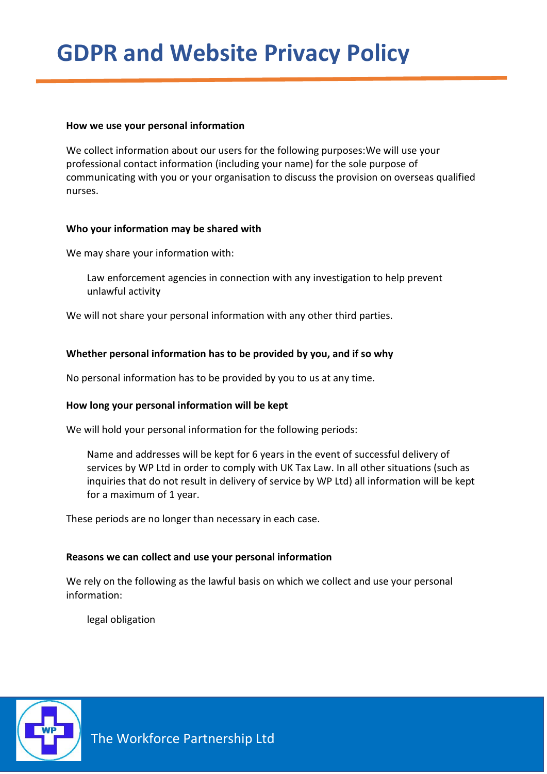#### **How we use your personal information**

We collect information about our users for the following purposes:We will use your professional contact information (including your name) for the sole purpose of communicating with you or your organisation to discuss the provision on overseas qualified nurses.

#### **Who your information may be shared with**

We may share your information with:

Law enforcement agencies in connection with any investigation to help prevent unlawful activity

We will not share your personal information with any other third parties.

#### **Whether personal information has to be provided by you, and if so why**

No personal information has to be provided by you to us at any time.

#### **How long your personal information will be kept**

We will hold your personal information for the following periods:

Name and addresses will be kept for 6 years in the event of successful delivery of services by WP Ltd in order to comply with UK Tax Law. In all other situations (such as inquiries that do not result in delivery of service by WP Ltd) all information will be kept for a maximum of 1 year.

These periods are no longer than necessary in each case.

#### **Reasons we can collect and use your personal information**

We rely on the following as the lawful basis on which we collect and use your personal information:

legal obligation

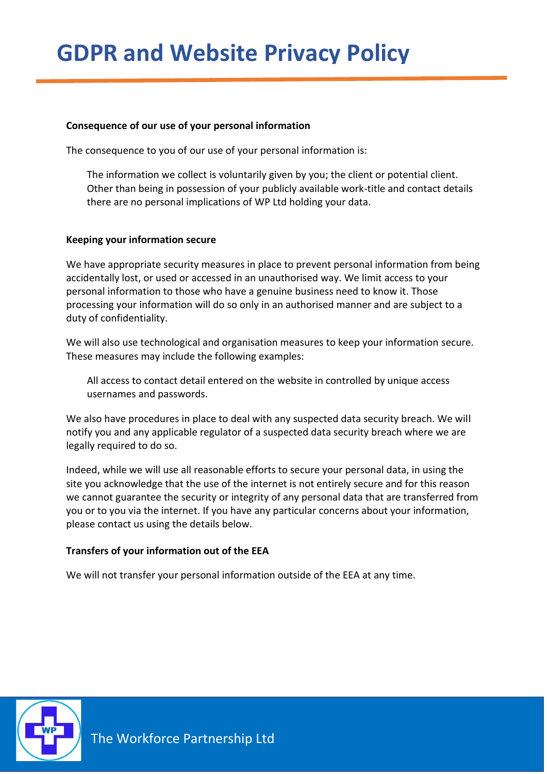#### **Consequence of our use of your personal information**

The consequence to you of our use of your personal information is:

The information we collect is voluntarily given by you; the client or potential client. Other than being in possession of your publicly available work-title and contact details there are no personal implications of WP Ltd holding your data.

#### **Keeping your information secure**

We have appropriate security measures in place to prevent personal information from being accidentally lost, or used or accessed in an unauthorised way. We limit access to your personal information to those who have a genuine business need to know it. Those processing your information will do so only in an authorised manner and are subject to a duty of confidentiality.

We will also use technological and organisation measures to keep your information secure. These measures may include the following examples:

All access to contact detail entered on the website in controlled by unique access usernames and passwords.

We also have procedures in place to deal with any suspected data security breach. We will notify you and any applicable regulator of a suspected data security breach where we are legally required to do so.

Indeed, while we will use all reasonable efforts to secure your personal data, in using the site you acknowledge that the use of the internet is not entirely secure and for this reason we cannot guarantee the security or integrity of any personal data that are transferred from you or to you via the internet. If you have any particular concerns about your information, please contact us using the details below.

#### **Transfers of your information out of the EEA**

We will not transfer your personal information outside of the EEA at any time.

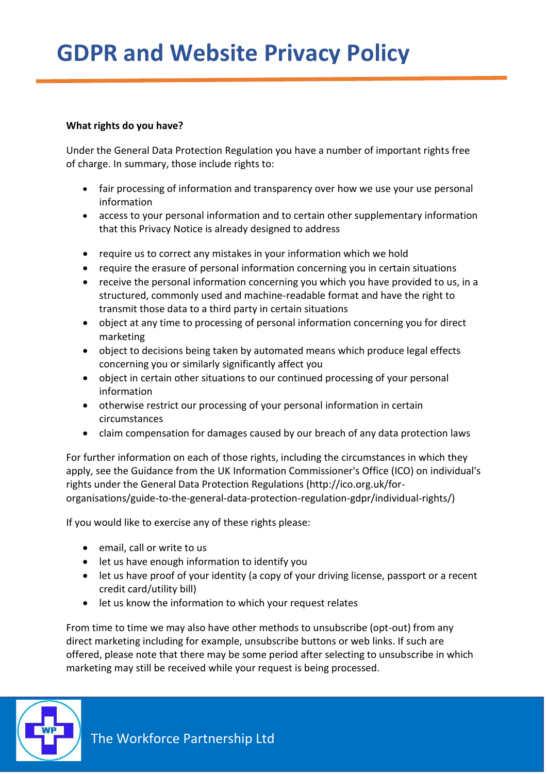#### **What rights do you have?**

Under the General Data Protection Regulation you have a number of important rights free of charge. In summary, those include rights to:

- fair processing of information and transparency over how we use your use personal information
- access to your personal information and to certain other supplementary information that this Privacy Notice is already designed to address
- require us to correct any mistakes in your information which we hold
- require the erasure of personal information concerning you in certain situations
- receive the personal information concerning you which you have provided to us, in a structured, commonly used and machine-readable format and have the right to transmit those data to a third party in certain situations
- object at any time to processing of personal information concerning you for direct marketing
- object to decisions being taken by automated means which produce legal effects concerning you or similarly significantly affect you
- object in certain other situations to our continued processing of your personal information
- otherwise restrict our processing of your personal information in certain circumstances
- claim compensation for damages caused by our breach of any data protection laws

For further information on each of those rights, including the circumstances in which they apply, see the Guidance from the UK Information Commissioner's Office (ICO) on individual's rights under the General Data Protection Regulations (http://ico.org.uk/fororganisations/guide-to-the-general-data-protection-regulation-gdpr/individual-rights/)

If you would like to exercise any of these rights please:

- email, call or write to us
- let us have enough information to identify you
- let us have proof of your identity (a copy of your driving license, passport or a recent credit card/utility bill)
- let us know the information to which your request relates

From time to time we may also have other methods to unsubscribe (opt-out) from any direct marketing including for example, unsubscribe buttons or web links. If such are offered, please note that there may be some period after selecting to unsubscribe in which marketing may still be received while your request is being processed.

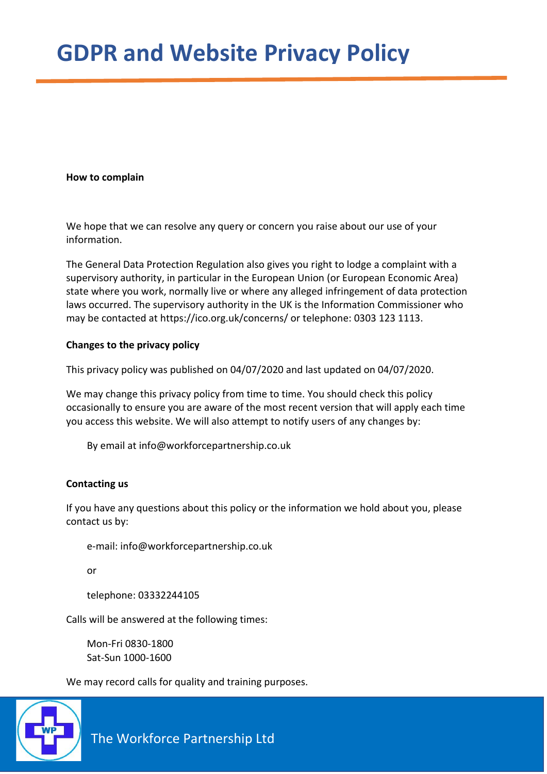#### **How to complain**

We hope that we can resolve any query or concern you raise about our use of your information.

The General Data Protection Regulation also gives you right to lodge a complaint with a supervisory authority, in particular in the European Union (or European Economic Area) state where you work, normally live or where any alleged infringement of data protection laws occurred. The supervisory authority in the UK is the Information Commissioner who may be contacted at https://ico.org.uk/concerns/ or telephone: 0303 123 1113.

#### **Changes to the privacy policy**

This privacy policy was published on 04/07/2020 and last updated on 04/07/2020.

We may change this privacy policy from time to time. You should check this policy occasionally to ensure you are aware of the most recent version that will apply each time you access this website. We will also attempt to notify users of any changes by:

By email at info@workforcepartnership.co.uk

#### **Contacting us**

If you have any questions about this policy or the information we hold about you, please contact us by:

e-mail: info@workforcepartnership.co.uk

or

telephone: 03332244105

Calls will be answered at the following times:

Mon-Fri 0830-1800 Sat-Sun 1000-1600

We may record calls for quality and training purposes.



The Workforce Partnership Ltd